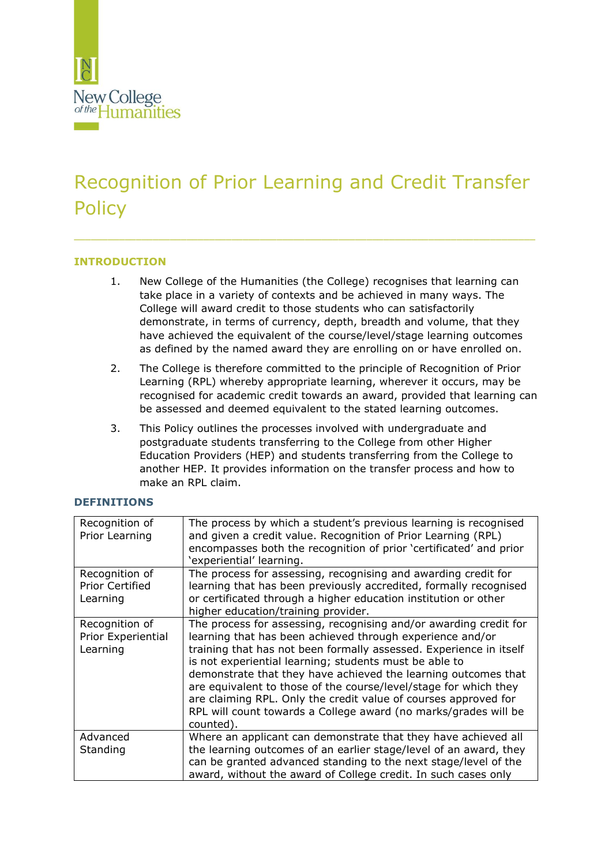

# Recognition of Prior Learning and Credit Transfer **Policy**

\_\_\_\_\_\_\_\_\_\_\_\_\_\_\_\_\_\_\_\_\_\_\_\_\_\_\_\_\_\_\_\_\_\_\_\_\_\_\_\_\_\_\_\_\_\_\_\_\_\_\_\_\_\_\_\_\_\_\_\_\_\_\_\_\_\_\_\_\_\_\_\_\_\_\_\_\_\_\_\_\_\_

# **INTRODUCTION**

- 1. New College of the Humanities (the College) recognises that learning can take place in a variety of contexts and be achieved in many ways. The College will award credit to those students who can satisfactorily demonstrate, in terms of currency, depth, breadth and volume, that they have achieved the equivalent of the course/level/stage learning outcomes as defined by the named award they are enrolling on or have enrolled on.
- 2. The College is therefore committed to the principle of Recognition of Prior Learning (RPL) whereby appropriate learning, wherever it occurs, may be recognised for academic credit towards an award, provided that learning can be assessed and deemed equivalent to the stated learning outcomes.
- 3. This Policy outlines the processes involved with undergraduate and postgraduate students transferring to the College from other Higher Education Providers (HEP) and students transferring from the College to another HEP. It provides information on the transfer process and how to make an RPL claim.

#### **DEFINITIONS**

| Recognition of<br>Prior Learning                     | The process by which a student's previous learning is recognised<br>and given a credit value. Recognition of Prior Learning (RPL)<br>encompasses both the recognition of prior 'certificated' and prior<br>'experiential' learning.                                                                                                                                                                                                                                                                                                                     |
|------------------------------------------------------|---------------------------------------------------------------------------------------------------------------------------------------------------------------------------------------------------------------------------------------------------------------------------------------------------------------------------------------------------------------------------------------------------------------------------------------------------------------------------------------------------------------------------------------------------------|
| Recognition of<br><b>Prior Certified</b><br>Learning | The process for assessing, recognising and awarding credit for<br>learning that has been previously accredited, formally recognised<br>or certificated through a higher education institution or other<br>higher education/training provider.                                                                                                                                                                                                                                                                                                           |
| Recognition of<br>Prior Experiential<br>Learning     | The process for assessing, recognising and/or awarding credit for<br>learning that has been achieved through experience and/or<br>training that has not been formally assessed. Experience in itself<br>is not experiential learning; students must be able to<br>demonstrate that they have achieved the learning outcomes that<br>are equivalent to those of the course/level/stage for which they<br>are claiming RPL. Only the credit value of courses approved for<br>RPL will count towards a College award (no marks/grades will be<br>counted). |
| Advanced<br>Standing                                 | Where an applicant can demonstrate that they have achieved all<br>the learning outcomes of an earlier stage/level of an award, they<br>can be granted advanced standing to the next stage/level of the<br>award, without the award of College credit. In such cases only                                                                                                                                                                                                                                                                                |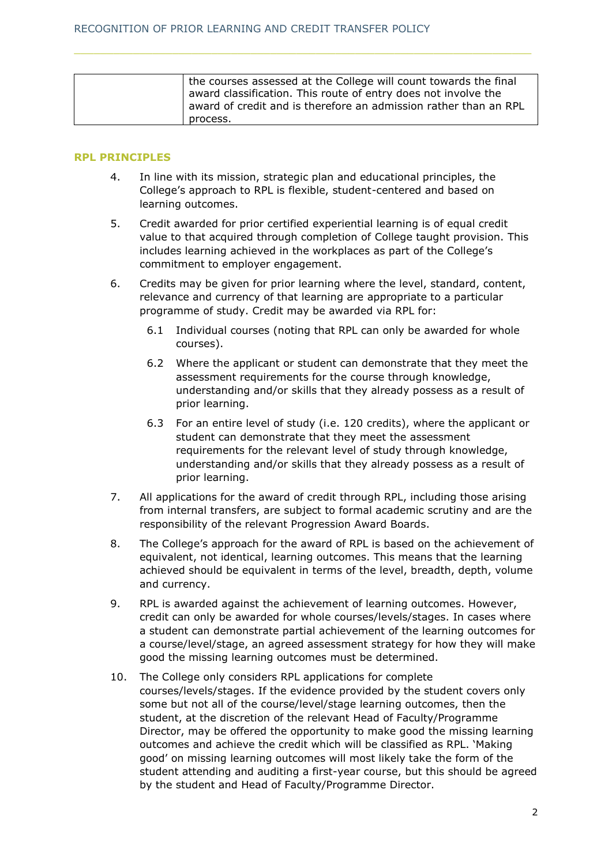| the courses assessed at the College will count towards the final |  |
|------------------------------------------------------------------|--|
| award classification. This route of entry does not involve the   |  |
| award of credit and is therefore an admission rather than an RPL |  |
| process.                                                         |  |

#### **RPL PRINCIPLES**

- 4. In line with its mission, strategic plan and educational principles, the College's approach to RPL is flexible, student-centered and based on learning outcomes.
- 5. Credit awarded for prior certified experiential learning is of equal credit value to that acquired through completion of College taught provision. This includes learning achieved in the workplaces as part of the College's commitment to employer engagement.
- 6. Credits may be given for prior learning where the level, standard, content, relevance and currency of that learning are appropriate to a particular programme of study. Credit may be awarded via RPL for:
	- 6.1 Individual courses (noting that RPL can only be awarded for whole courses).
	- 6.2 Where the applicant or student can demonstrate that they meet the assessment requirements for the course through knowledge, understanding and/or skills that they already possess as a result of prior learning.
	- 6.3 For an entire level of study (i.e. 120 credits), where the applicant or student can demonstrate that they meet the assessment requirements for the relevant level of study through knowledge, understanding and/or skills that they already possess as a result of prior learning.
- 7. All applications for the award of credit through RPL, including those arising from internal transfers, are subject to formal academic scrutiny and are the responsibility of the relevant Progression Award Boards.
- 8. The College's approach for the award of RPL is based on the achievement of equivalent, not identical, learning outcomes. This means that the learning achieved should be equivalent in terms of the level, breadth, depth, volume and currency.
- 9. RPL is awarded against the achievement of learning outcomes. However, credit can only be awarded for whole courses/levels/stages. In cases where a student can demonstrate partial achievement of the learning outcomes for a course/level/stage, an agreed assessment strategy for how they will make good the missing learning outcomes must be determined.
- 10. The College only considers RPL applications for complete courses/levels/stages. If the evidence provided by the student covers only some but not all of the course/level/stage learning outcomes, then the student, at the discretion of the relevant Head of Faculty/Programme Director, may be offered the opportunity to make good the missing learning outcomes and achieve the credit which will be classified as RPL. 'Making good' on missing learning outcomes will most likely take the form of the student attending and auditing a first-year course, but this should be agreed by the student and Head of Faculty/Programme Director.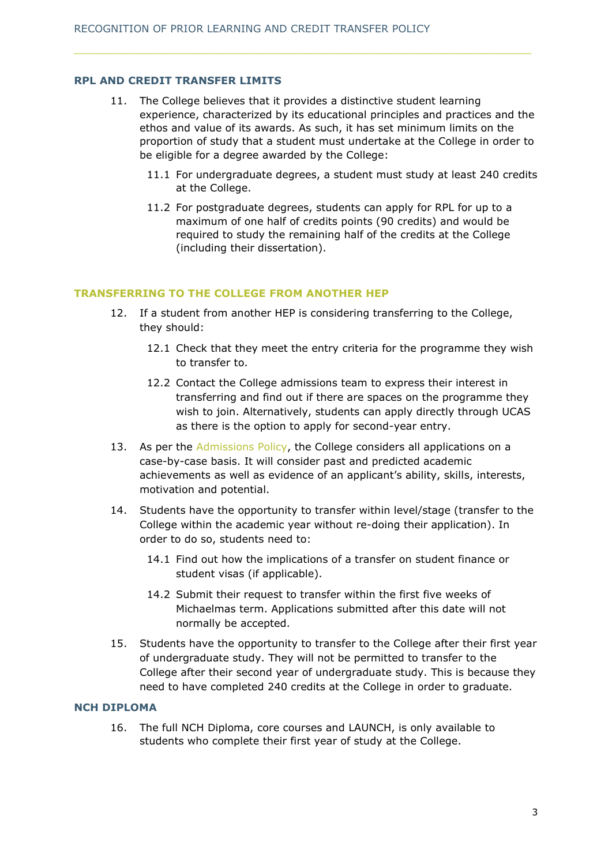## **RPL AND CREDIT TRANSFER LIMITS**

- 11. The College believes that it provides a distinctive student learning experience, characterized by its educational principles and practices and the ethos and value of its awards. As such, it has set minimum limits on the proportion of study that a student must undertake at the College in order to be eligible for a degree awarded by the College:
	- 11.1 For undergraduate degrees, a student must study at least 240 credits at the College.
	- 11.2 For postgraduate degrees, students can apply for RPL for up to a maximum of one half of credits points (90 credits) and would be required to study the remaining half of the credits at the College (including their dissertation).

## **TRANSFERRING TO THE COLLEGE FROM ANOTHER HEP**

- 12. If a student from another HEP is considering transferring to the College, they should:
	- 12.1 Check that they meet the entry criteria for the programme they wish to transfer to.
	- 12.2 Contact the College admissions team to express their interest in transferring and find out if there are spaces on the programme they wish to join. Alternatively, students can apply directly through UCAS as there is the option to apply for second-year entry.
- 13. As per the [Admissions Policy,](https://www.nchlondon.ac.uk/about-us/academic-handbook/nch-policies-and-procedures/nch-admissions/) the College considers all applications on a case-by-case basis. It will consider past and predicted academic achievements as well as evidence of an applicant's ability, skills, interests, motivation and potential.
- 14. Students have the opportunity to transfer within level/stage (transfer to the College within the academic year without re-doing their application). In order to do so, students need to:
	- 14.1 Find out how the implications of a transfer on student finance or student visas (if applicable).
	- 14.2 Submit their request to transfer within the first five weeks of Michaelmas term. Applications submitted after this date will not normally be accepted.
- 15. Students have the opportunity to transfer to the College after their first year of undergraduate study. They will not be permitted to transfer to the College after their second year of undergraduate study. This is because they need to have completed 240 credits at the College in order to graduate.

#### **NCH DIPLOMA**

16. The full NCH Diploma, core courses and LAUNCH, is only available to students who complete their first year of study at the College.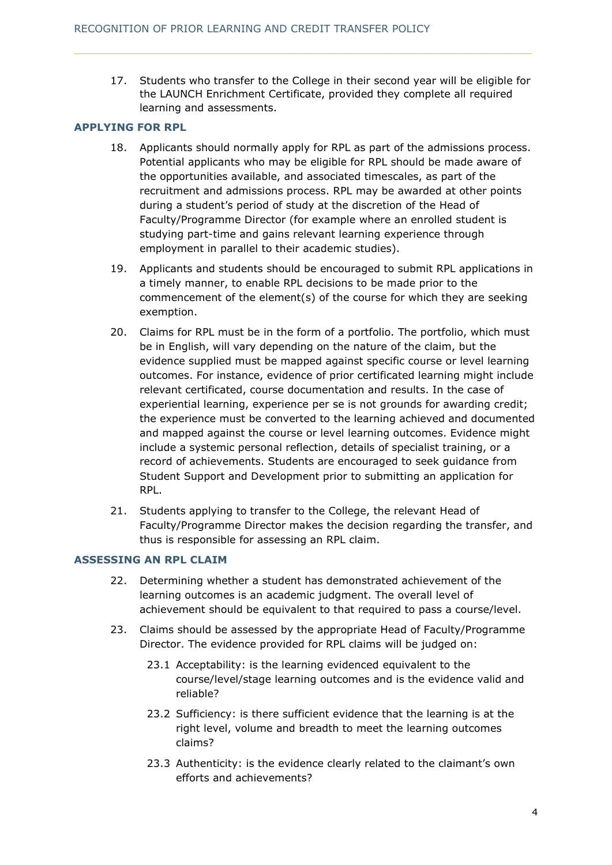17. Students who transfer to the College in their second year will be eligible for the LAUNCH Enrichment Certificate, provided they complete all required learning and assessments.

# **APPLYING FOR RPL**

- 18. Applicants should normally apply for RPL as part of the admissions process. Potential applicants who may be eligible for RPL should be made aware of the opportunities available, and associated timescales, as part of the recruitment and admissions process. RPL may be awarded at other points during a student's period of study at the discretion of the Head of Faculty/Programme Director (for example where an enrolled student is studying part-time and gains relevant learning experience through employment in parallel to their academic studies).
- 19. Applicants and students should be encouraged to submit RPL applications in a timely manner, to enable RPL decisions to be made prior to the commencement of the element(s) of the course for which they are seeking exemption.
- 20. Claims for RPL must be in the form of a portfolio. The portfolio, which must be in English, will vary depending on the nature of the claim, but the evidence supplied must be mapped against specific course or level learning outcomes. For instance, evidence of prior certificated learning might include relevant certificated, course documentation and results. In the case of experiential learning, experience per se is not grounds for awarding credit; the experience must be converted to the learning achieved and documented and mapped against the course or level learning outcomes. Evidence might include a systemic personal reflection, details of specialist training, or a record of achievements. Students are encouraged to seek guidance from Student Support and Development prior to submitting an application for RPL.
- 21. Students applying to transfer to the College, the relevant Head of Faculty/Programme Director makes the decision regarding the transfer, and thus is responsible for assessing an RPL claim.

# **ASSESSING AN RPL CLAIM**

- 22. Determining whether a student has demonstrated achievement of the learning outcomes is an academic judgment. The overall level of achievement should be equivalent to that required to pass a course/level.
- 23. Claims should be assessed by the appropriate Head of Faculty/Programme Director. The evidence provided for RPL claims will be judged on:
	- 23.1 Acceptability: is the learning evidenced equivalent to the course/level/stage learning outcomes and is the evidence valid and reliable?
	- 23.2 Sufficiency: is there sufficient evidence that the learning is at the right level, volume and breadth to meet the learning outcomes claims?
	- 23.3 Authenticity: is the evidence clearly related to the claimant's own efforts and achievements?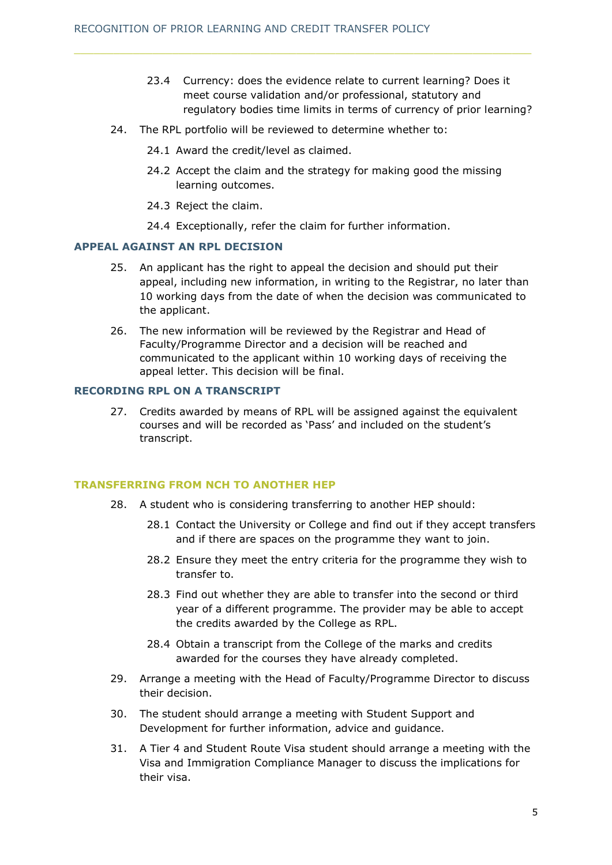- 23.4 Currency: does the evidence relate to current learning? Does it meet course validation and/or professional, statutory and regulatory bodies time limits in terms of currency of prior learning?
- 24. The RPL portfolio will be reviewed to determine whether to:
	- 24.1 Award the credit/level as claimed.
	- 24.2 Accept the claim and the strategy for making good the missing learning outcomes.
	- 24.3 Reject the claim.
	- 24.4 Exceptionally, refer the claim for further information.

## **APPEAL AGAINST AN RPL DECISION**

- 25. An applicant has the right to appeal the decision and should put their appeal, including new information, in writing to the Registrar, no later than 10 working days from the date of when the decision was communicated to the applicant.
- 26. The new information will be reviewed by the Registrar and Head of Faculty/Programme Director and a decision will be reached and communicated to the applicant within 10 working days of receiving the appeal letter. This decision will be final.

## **RECORDING RPL ON A TRANSCRIPT**

27. Credits awarded by means of RPL will be assigned against the equivalent courses and will be recorded as 'Pass' and included on the student's transcript.

#### **TRANSFERRING FROM NCH TO ANOTHER HEP**

- 28. A student who is considering transferring to another HEP should:
	- 28.1 Contact the University or College and find out if they accept transfers and if there are spaces on the programme they want to join.
	- 28.2 Ensure they meet the entry criteria for the programme they wish to transfer to.
	- 28.3 Find out whether they are able to transfer into the second or third year of a different programme. The provider may be able to accept the credits awarded by the College as RPL.
	- 28.4 Obtain a transcript from the College of the marks and credits awarded for the courses they have already completed.
- 29. Arrange a meeting with the Head of Faculty/Programme Director to discuss their decision.
- 30. The student should arrange a meeting with Student Support and Development for further information, advice and guidance.
- 31. A Tier 4 and Student Route Visa student should arrange a meeting with the Visa and Immigration Compliance Manager to discuss the implications for their visa.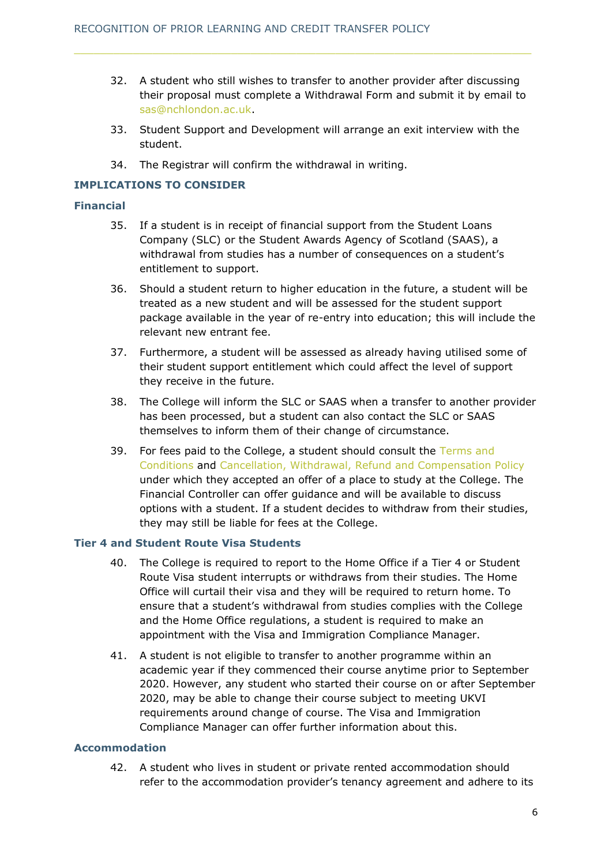- 32. A student who still wishes to transfer to another provider after discussing their proposal must complete a Withdrawal Form and submit it by email to [sas@nchlondon.ac.uk.](mailto:sas@nchlondon.ac.uk)
- 33. Student Support and Development will arrange an exit interview with the student.
- 34. The Registrar will confirm the withdrawal in writing.

## **IMPLICATIONS TO CONSIDER**

#### **Financial**

- 35. If a student is in receipt of financial support from the Student Loans Company (SLC) or the Student Awards Agency of Scotland (SAAS), a withdrawal from studies has a number of consequences on a student's entitlement to support.
- 36. Should a student return to higher education in the future, a student will be treated as a new student and will be assessed for the student support package available in the year of re-entry into education; this will include the relevant new entrant fee.
- 37. Furthermore, a student will be assessed as already having utilised some of their student support entitlement which could affect the level of support they receive in the future.
- 38. The College will inform the SLC or SAAS when a transfer to another provider has been processed, but a student can also contact the SLC or SAAS themselves to inform them of their change of circumstance.
- 39. For fees paid to the College, a student should consult the [Terms and](https://www.nchlondon.ac.uk/about-us/academic-handbook/nch-policies-and-procedures/nch-admissions/)  [Conditions](https://www.nchlondon.ac.uk/about-us/academic-handbook/nch-policies-and-procedures/nch-admissions/) and [Cancellation, Withdrawal, Refund and Compensation Policy](https://www.nchlondon.ac.uk/about-us/academic-handbook/nch-policies-and-procedures/nch-admissions/) under which they accepted an offer of a place to study at the College. The Financial Controller can offer guidance and will be available to discuss options with a student. If a student decides to withdraw from their studies, they may still be liable for fees at the College.

## **Tier 4 and Student Route Visa Students**

- 40. The College is required to report to the Home Office if a Tier 4 or Student Route Visa student interrupts or withdraws from their studies. The Home Office will curtail their visa and they will be required to return home. To ensure that a student's withdrawal from studies complies with the College and the Home Office regulations, a student is required to make an appointment with the Visa and Immigration Compliance Manager.
- 41. A student is not eligible to transfer to another programme within an academic year if they commenced their course anytime prior to September 2020. However, any student who started their course on or after September 2020, may be able to change their course subject to meeting UKVI requirements around change of course. The Visa and Immigration Compliance Manager can offer further information about this.

#### **Accommodation**

42. A student who lives in student or private rented accommodation should refer to the accommodation provider's tenancy agreement and adhere to its